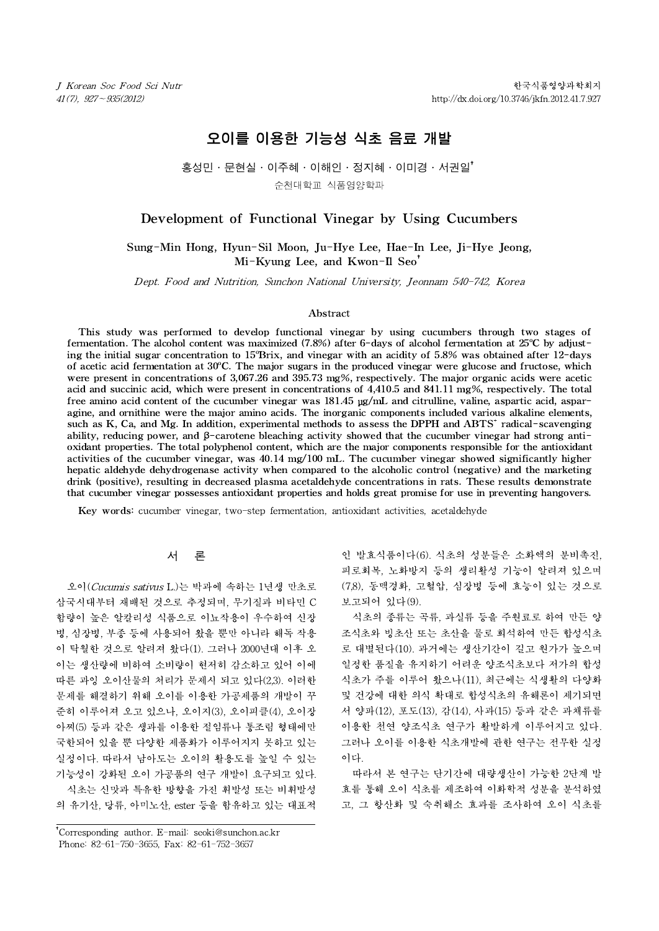# 오이를 이용한 기능성 식초 음료 개발

# 홍성민․문현실․이주혜․이해인․정지혜․이미경․서권일†

순천대학교 식품영양학과

# Development of Functional Vinegar by Using Cucumbers

Sung-Min Hong, Hyun-Sil Moon, Ju-Hye Lee, Hae-In Lee, Ji-Hye Jeong, Mi-Kyung Lee, and Kwon-Il Seo<sup>†</sup> Development of Functional Vinegal by Using Cucumbers<br>
ung-Min Hong, Hyun-Sil Moon, Ju-Hye Lee, Hae-In Lee, Ji-Hye Jeong,<br>
Mi-Kyung Lee, and Kwon-Il Seo<sup>†</sup><br>
Dept. Food and Nutrition, Sunchon National University, Jeonnam 540

#### Abstract

This study was performed to develop functional vinegar by using cucumbers through two stages of fermentation. The alcohol content was maximized  $(7.8\%)$  after 6-days of alcohol fermentation at 25°C by adjusting the initial sugar concentration to  $15^{\circ}$ Brix, and vinegar with an acidity of 5.8% was obtained after 12-days of acetic acid fermentation at  $30^{\circ}$ C. The major sugars in the produced vinegar were glucose and fructose, which were present in concentrations of 3,067.26 and 395.73 mg%, respectively. The major organic acids were acetic acid and succinic acid, which were present in concentrations of 4,410.5 and 841.11 mg%, respectively. The total free amino acid content of the cucumber vinegar was 181.45 μg/mL and citrulline, valine, aspartic acid, asparagine, and ornithine were the major amino acids. The inorganic components included various alkaline elements, such as K, Ca, and Mg. In addition, experimental methods to assess the DPPH and ABTS<sup>+</sup> radical-scavenging ability, reducing power, and β-carotene bleaching activity showed that the cucumber vinegar had strong antioxidant properties. The total polyphenol content, which are the major components responsible for the antioxidant activities of the cucumber vinegar, was 40.14 mg/100 mL. The cucumber vinegar showed significantly higher hepatic aldehyde dehydrogenase activity when compared to the alcoholic control (negative) and the marketing drink (positive), resulting in decreased plasma acetaldehyde concentrations in rats. These results demonstrate that cucumber vinegar possesses antioxidant properties and holds great promise for use in preventing hangovers.

Key words: cucumber vinegar, two-step fermentation, antioxidant activities, acetaldehyde

# 서 론

오이(Cucumis sativus L.)는 박과에 속하는 1년생 만초로 삼국시대부터 재배된 것으로 추정되며, 무기질과 비타민 C 함량이 높은 알칼리성 식품으로 이뇨작용이 우수하여 신장 병, 심장병, 부종 등에 사용되어 왔을 뿐만 아니라 해독 작용 이 탁월한 것으로 알려져 왔다(1). 그러나 2000년대 이후 오 이는 생산량에 비하여 소비량이 현저히 감소하고 있어 이에 따른 과잉 오이산물의 처리가 문제시 되고 있다(2,3). 이러한 문제를 해결하기 위해 오이를 이용한 가공제품의 개발이 꾸 준히 이루어져 오고 있으나, 오이지(3), 오이피클(4), 오이장 아찌(5) 등과 같은 생과를 이용한 절임류나 통조림 형태에만 국한되어 있을 뿐 다양한 제품화가 이루어지지 못하고 있는 실정이다. 따라서 남아도는 오이의 활용도를 높일 수 있는 기능성이 강화된 오이 가공품의 연구 개발이 요구되고 있다. 식초는 신맛과 특유한 방향을 가진 휘발성 또는 비휘발성 의 유기산, 당류, 아미노산, ester 등을 함유하고 있는 대표적

†Corresponding author. E-mail: seoki@sunchon.ac.kr †Phone: 82-61-750-3655, Fax: 82-61-752-3657

인 발효식품이다(6). 식초의 성분들은 소화액의 분비촉진, 피로회복, 노화방지 등의 생리활성 기능이 알려져 있으며 (7,8), 동맥경화, 고혈압, 심장병 등에 효능이 있는 것으로 보고되어 있다(9).

식초의 종류는 곡류, 과실류 등을 주원료로 하여 만든 양 조식초와 빙초산 또는 초산을 물로 희석하여 만든 합성식초 로 대별된다(10). 과거에는 생산기간이 길고 원가가 높으며 일정한 품질을 유지하기 어려운 양조식초보다 저가의 합성 식초가 주를 이루어 왔으나(11), 최근에는 식생활의 다양화 및 건강에 대한 의식 확대로 합성식초의 유해론이 제기되면 서 양파(12), 포도(13), 감(14), 사과(15) 등과 같은 과채류를 이용한 천연 양조식초 연구가 활발하게 이루어지고 있다. 그러나 오이를 이용한 식초개발에 관한 연구는 전무한 실정 이다.

따라서 본 연구는 단기간에 대량생산이 가능한 2단계 발 효를 통해 오이 식초를 제조하여 이화학적 성분을 분석하였 고, 그 항산화 및 숙취해소 효과를 조사하여 오이 식초를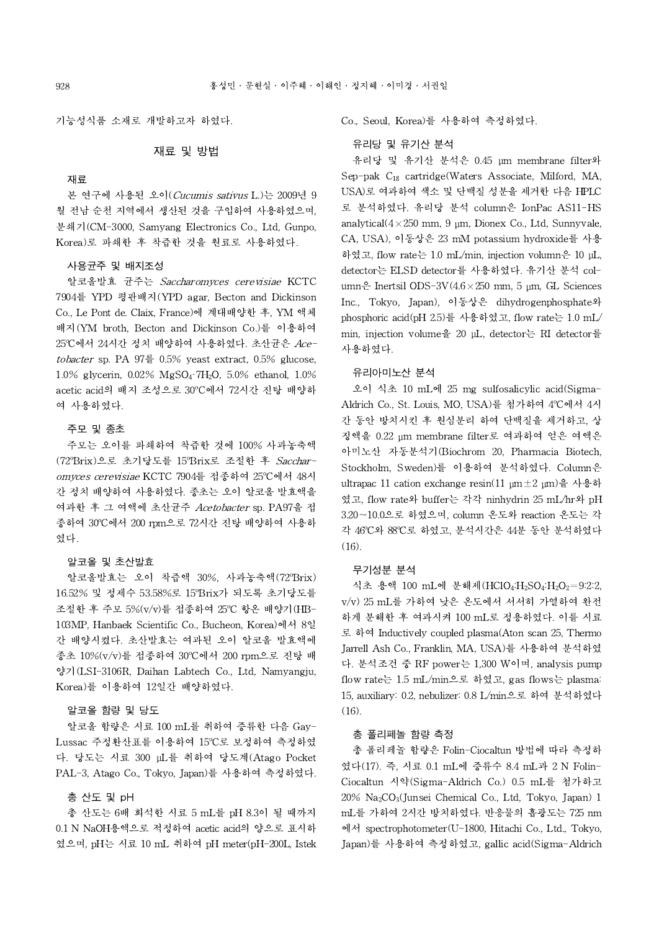기능성식품 소재로 개발하고자 하였다.

# 재료 및 방법

# 재료

본 연구에 사용된 오이(Cucumis sativus L.)는 2009년 9 월 전남 순천 지역에서 생산된 것을 구입하여 사용하였으며, 분쇄기(CM-3000, Samyang Electronics Co., Ltd, Gunpo, Korea)로 파쇄한 후 착즙한 것을 원료로 사용하였다.

### 사용균주 및 배지조성

알코올발효 균주는 Saccharomyces cerevisiae KCTC 7904를 YPD 평판배지(YPD agar, Becton and Dickinson Co., Le Pont de. Claix, France)에 계대배양한 후, YM 액체 배지(YM broth, Becton and Dickinson Co.)를 이용하여 25℃에서 24시간 정치 배양하여 사용하였다. 초산균은 Acetobacter sp. PA 97를 0.5% yeast extract, 0.5% glucose, 1.0% glycerin, 0.02% MgSO4·7H2O, 5.0% ethanol, 1.0% acetic acid의 배지 조성으로 30°C에서 72시간 진탕 배양하 여 사용하였다.

# 주모 및 종초

주모는 오이를 파쇄하여 착즙한 것에 100% 사과농축액 (72°Brix)으로 초기당도를 15°Brix로 조절한 후 Saccharomyces cerevisiae KCTC 7904를 접종하여 25°C에서 48시 간 정치 배양하여 사용하였다. 종초는 오이 알코올 발효액을 여과한 후 그 여액에 초산균주 Acetobacter sp. PA97을 접 종하여 30<sup>o</sup>C에서 200 rpm으로 72시간 진탕 배양하여 사용하 였다.

# 알코올 및 초산발효

알코올발효는 오이 착즙액 30%, 사과농축액(72°Brix) 16.52% 및 정제수 53.58%로 15°Brix가 되도록 초기당도를 조절한 후 주모 5%(v/v)를 접종하여 25°C 항온 배양기(HB-103MP, Hanbaek Scientific Co., Bucheon, Korea)에서 8일 간 배양시켰다. 초산발효는 여과된 오이 알코올 발효액에 종초 10%(v/v)를 접종하여 30°C에서 200 rpm으로 진탕 배 양기(LSI-3106R, Daihan Labtech Co., Ltd, Namyangju, Korea)를 이용하여 12일간 배양하였다.

# 알코올 함량 및 당도

알코올 함량은 시료 100 mL를 취하여 증류한 다음 Gay-Lussac 주정환산표를 이용하여 15°C로 보정하여 측정하였 다. 당도는 시료 300 μL를 취하여 당도계(Atago Pocket PAL-3, Atago Co.,Tokyo, Japan)를 사용하여 측정하였다.

# 총 산도 및 pH

총 산도는 6배 희석한 시료 5 mL를 pH 8.3이 될 때까지 0.1 N NaOH용액으로 적정하여 acetic acid의 양으로 표시하 였으며, pH는 시료 10 mL 취하여 pH meter(pH-200L, Istek Co., Seoul, Korea)를 사용하여 측정하였다.

# 유리당 및 유기산 분석

유리당 및 유기산 분석은 0.45 μm membrane filter와 Sep-pak C<sup>18</sup> cartridge(Waters Associate, Milford, MA, USA)로 여과하여 색소 및 단백질 성분을 제거한 다음 HPLC 로 분석하였다. 유리당 분석 column은 IonPac AS11-HS analytical( $4\times250$  mm, 9 um, Dionex Co., Ltd. Sunnyvale, CA, USA), 이동상은 23 mM potassium hydroxide를 사용 하였고, flow rate는 1.0 mL/min, injection volumn은 10 μL, detector는 ELSD detector를 사용하였다. 유기산 분석 column은 Inertsil ODS-3V $(4.6 \times 250 \text{ mm}, 5 \text{ µm}, GL$  Sciences Inc., Tokyo, Japan), 이동상은 dihydrogenphosphate와 phosphoric acid(pH 2.5)를 사용하였고, flow rate는 1.0 mL/ min, injection volume을 20 μL, detector는 RI detector를 사용하였다.

### 유리아미노산 분석

오이 식초 10 mL에 25 mg sulfosalicylic acid(Sigma-Aldrich Co., St. Louis, MO, USA)를 첨가하여 4ºC에서 4시 간 동안 방치시킨 후 원심분리 하여 단백질을 제거하고, 상 징액을 0.22 μm membrane filter로 여과하여 얻은 여액은 아미노산 자동분석기(Biochrom 20, Pharmacia Biotech, Stockholm, Sweden)를 이용하여 분석하였다. Column은 ultrapac 11 cation exchange resin(11 μm±2 μm)을 사용하 였고, flow rate와 buffer는 각각 ninhydrin 25 mL/hr와 pH 3.20∼10.0으로 하였으며, column 온도와 reaction 온도는 각 각 46°C와 88°C로 하였고, 분석시간은 44분 동안 분석하였다 (16).

#### 무기성분 분석

식초 용액 100 mL에 분해제(HClO4:H<sub>2</sub>SO4:H<sub>2</sub>O<sub>2</sub>=9:2:2, v/v) 25 mL를 가하여 낮은 온도에서 서서히 가열하여 완전 하게 분해한 후 여과시켜 100 mL로 정용하였다.이를 시료 로 하여 Inductively coupled plasma(Aton scan 25, Thermo Jarrell Ash Co., Franklin, MA, USA)를 사용하여 분석하였 다. 분석조건 중 RF power는 1,300 W이며, analysis pump flow rate는 1.5 mL/min으로 하였고, gas flows는 plasma: 15, auxiliary: 0.2, nebulizer: 0.8 L/min으로 하여 분석하였다 (16).

### 총 폴리페놀 함량 측정

총 폴리페놀 함량은 Folin-Ciocaltun 방법에 따라 측정하 였다(17). 즉, 시료 0.1 mL에 증류수 8.4 mL과 2 N Folin-Ciocaltun 시약(Sigma-Aldrich Co.) 0.5 mL를 첨가하고  $20\%$  Na<sub>2</sub>CO<sub>3</sub>(Junsei Chemical Co., Ltd, Tokyo, Japan) 1 mL를 가하여 2시간 방치하였다. 반응물의 흡광도는 725 nm 에서 spectrophotometer(U-1800, Hitachi Co., Ltd., Tokyo, Japan)를 사용하여 측정하였고, gallic acid(Sigma-Aldrich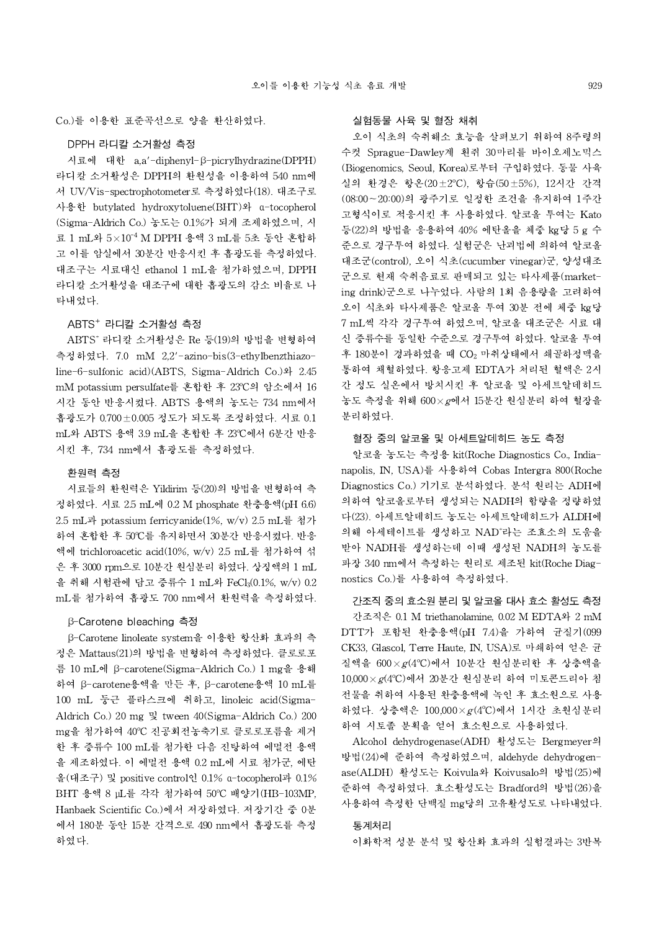Co.)를 이용한 표준곡선으로 양을 환산하였다.

# DPPH 라디칼 소거활성 측정

시료에 대한 a,a'-diphenyl-β-picrylhydrazine(DPPH) 라디칼 소거활성은 DPPH의 환원성을 이용하여 540 nm에 서 UV/Vis-spectrophotometer로 측정하였다(18). 대조구로 사용한 butylated hydroxytoluene(BHT)와 α-tocopherol (Sigma-Aldrich Co.) 농도는 0.1%가 되게 조제하였으며, 시 료 1 mL와 5×10-4 M DPPH 용액 3 mL를 5초 동안 혼합하 고 이를 암실에서 30분간 반응시킨 후 흡광도를 측정하였다. 대조구는 시료대신 ethanol 1 mL을 첨가하였으며, DPPH 라디칼 소거활성을 대조구에 대한 흡광도의 감소 비율로 나 타내었다.

# $ABTS<sup>+</sup>$  라디칼 소거활성 측정

ABTS<sup>+</sup> 라디칼 소거활성은 Re 등(19)의 방법을 변형하여 측정하였다. 7.0 mM 2,2'-azino-bis(3-ethylbenzthiazoline-6-sulfonic acid)(ABTS, Sigma-Aldrich Co.)와 2.45 mM potassium persulfate를 혼합한 후 23°C의 암소에서 16 시간 동안 반응시켰다. ABTS 용액의 농도는 734 nm에서 흡광도가 0.700±0.005 정도가 되도록 조정하였다.시료 0.1 mL와 ABTS 용액 3.9 mL을 혼합한 후 23°C에서 6분간 반응 시킨 후, 734 nm에서 흡광도를 측정하였다.

#### 환원력 측정

시료들의 환원력은 Yildirim 등(20)의 방법을 변형하여 측 정하였다. 시료 2.5 mL에 0.2 M phosphate 완충용액(pH 6.6) 2.5 mL과 potassium ferricyanide(1%, w/v) 2.5 mL를 첨가 하여 혼합한 후 50°C를 유지하면서 30분간 반응시켰다. 반응 액에 trichloroacetic acid(10%, w/v) 2.5 mL를 첨가하여 섞 은 후 3000 rpm으로 10분간 원심분리 하였다. 상징액의 1 mL 을 취해 시험관에 담고 증류수 1 mL와 FeCl<sub>3</sub>(0.1%, w/v) 0.2 mL를 첨가하여 흡광도 700 nm에서 환원력을 측정하였다.

### β-Carotene bleaching 측정

β-Carotene linoleate system을 이용한 항산화 효과의 측 정은 Mattaus(21)의 방법을 변형하여 측정하였다.클로로포 름 10 mL에 β-carotene(Sigma-Aldrich Co.) 1 mg을 용해 하여 β-carotene용액을 만든 후, β-carotene용액 10 mL를 100 mL 둥근 플라스크에 취하고, linoleic acid(Sigma-Aldrich Co.) 20 mg 및 tween 40(Sigma-Aldrich Co.) 200 mg을 첨가하여 40°C 진공회전농축기로 클로로포름을 제거 한 후 증류수 100 mL를 첨가한 다음 진탕하여 에멀전 용액 을 제조하였다. 이 에멀전 용액 0.2 mL에 시료 첨가군, 에탄 올(대조구) 및 positive control인 0.1% α-tocopherol과 0.1% BHT 용액 8 µL를 각각 첨가하여 50°C 배양기(HB-103MP, Hanbaek Scientific Co.)에서 저장하였다. 저장기간 중 0분 에서 180분 동안 15분 간격으로 490 nm에서 흡광도를 측정 하였다.

# 실험동물 사육 및 혈장 채취

오이 식초의 숙취해소 효능을 살펴보기 위하여 8주령의 수컷 Sprague-Dawley계 흰쥐 30마리를 바이오제노믹스 (Biogenomics, Seoul, Korea)로부터 구입하였다. 동물 사육 실의 환경은 항온(20±2°C), 항습(50±5%), 12시간 간격 (08:00~20:00)의 광주기로 일정한 조건을 유지하여 1주간 고형식이로 적응시킨 후 사용하였다. 알코올 투여는 Kato 등(22)의 방법을 응용하여 40% 에탄올을 체중 kg당 5 g 수 준으로 경구투여 하였다. 실험군은 난괴법에 의하여 알코올 대조군(control), 오이 식초(cucumber vinegar)군, 양성대조 군으로 현재 숙취음료로 판매되고 있는 타사제품(marketing drink)군으로 나누었다. 사람의 1회 음용량을 고려하여 오이 식초와 타사제품은 알코올 투여 30분 전에 체중 kg당 7 mL씩 각각 경구투여 하였으며, 알코올 대조군은 시료 대 신 증류수를 동일한 수준으로 경구투여 하였다. 알코올 투여 후 180분이 경과하였을 때 CO<sup>2</sup> 마취상태에서 쇄골하정맥을 통하여 채혈하였다. 항응고제 EDTA가 처리된 혈액은 2시 간 정도 실온에서 방치시킨 후 알코올 및 아세트알데히드 농도 측정을 위해 600×g에서 15분간 원심분리 하여 혈장을 분리하였다.

# 혈장 중의 알코올 및 아세트알데히드 농도 측정

알코올 농도는 측정용 kit(Roche Diagnostics Co., Indianapolis, IN, USA)를 사용하여 Cobas Intergra 800(Roche Diagnostics Co.) 기기로 분석하였다. 분석 원리는 ADH에 의하여 알코올로부터 생성되는 NADH의 함량을 정량하였 다(23). 아세트알데히드 농도는 아세트알데히드가 ALDH에 의해 아세테이트를 생성하고 NAD<sup>+</sup>라는 조효소의 도움을 받아 NADH를 생성하는데 이때 생성된 NADH의 농도를 파장 340 nm에서 측정하는 원리로 제조된 kit(Roche Diagnostics Co.)를 사용하여 측정하였다.

# 간조직 중의 효소원 분리 및 알코올 대사 효소 활성도 측정

간조직은 0.1 M triethanolamine, 0.02 M EDTA와 2 mM DTT가 포함된 완충용액(pH 7.4)을 가하여 균질기(099 CK33, Glascol, Terre Haute, IN, USA)로 마쇄하여 얻은 균 질액을  $600 \times g(4^{\circ}\text{C})$ 에서 10분간 원심분리한 후 상층액을  $10,000 \times g(4^{\circ}\mathrm{C})$ 에서 20분간 원심분리 하여 미토콘드리아 침 전물을 취하여 사용된 완충용액에 녹인 후 효소원으로 사용 하였다. 상층액은 100,000× $g(4^{\circ}C)$ 에서 1시간 초원심분리 하여 시토졸 분획을 얻어 효소원으로 사용하였다.

Alcohol dehydrogenase(ADH) 활성도는 Bergmeyer의 방법(24)에 준하여 측정하였으며, aldehyde dehydrogenase(ALDH) 활성도는 Koivula와 Koivusalo의 방법(25)에 준하여 측정하였다. 효소활성도는 Bradford의 방법(26)을 사용하여 측정한 단백질 mg당의 고유활성도로 나타내었다.

### 통계처리

이화학적 성분 분석 및 항산화 효과의 실험결과는 3반복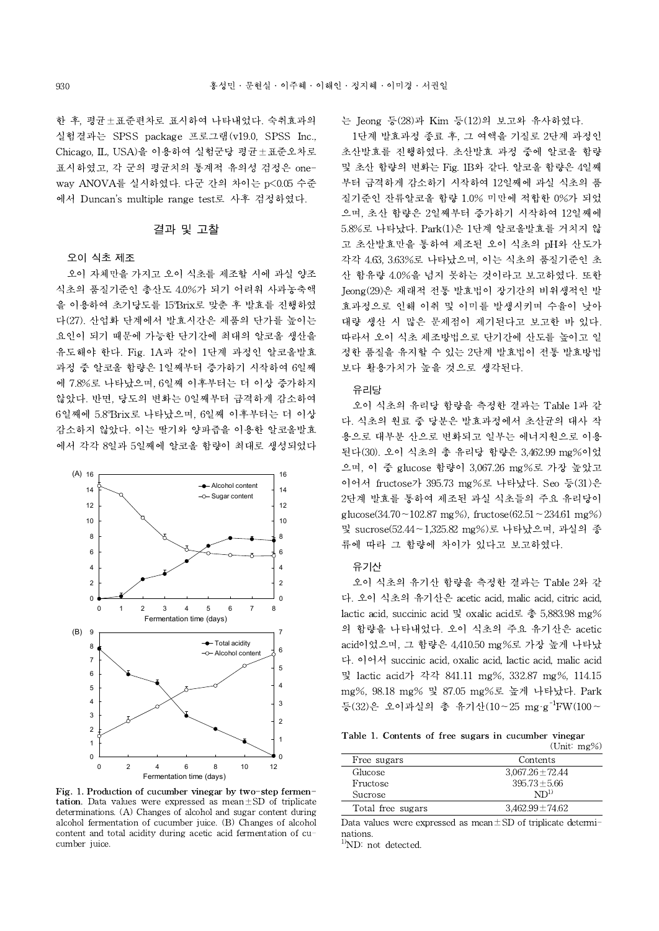한 후, 평균±표준편차로 표시하여 나타내었다.숙취효과의 실험결과는 SPSS package 프로그램(v19.0, SPSS Inc., Chicago, IL, USA)을 이용하여 실험군당 평균±표준오차로 표시하였고, 각 군의 평균치의 통계적 유의성 검정은 oneway ANOVA를 실시하였다.다군 간의 차이는 p<0.05 수준 에서 Duncan's multiple range test로 사후 검정하였다.

### 결과 및 고찰

### 오이 식초 제조

오이 자체만을 가지고 오이 식초를 제조할 시에 과실 양조 식초의 품질기준인 총산도 4.0%가 되기 어려워 사과농축액 을 이용하여 초기당도를 15°Brix로 맞춘 후 발효를 진행하였 다(27). 산업화 단계에서 발효시간은 제품의 단가를 높이는 요인이 되기 때문에 가능한 단기간에 최대의 알코올 생산을 유도해야 한다. Fig. 1A과 같이 1단계 과정인 알코올발효 과정 중 알코올 함량은 1일째부터 증가하기 시작하여 6일째 에 7.8%로 나타났으며, 6일째 이후부터는 더 이상 증가하지 않았다. 반면, 당도의 변화는 0일째부터 급격하게 감소하여 6일째에 5.8°Brix로 나타났으며, 6일째 이후부터는 더 이상 감소하지 않았다. 이는 딸기와 양파즙을 이용한 알코올발효 에서 각각 8일과 5일째에 알코올 함량이 최대로 생성되었다



Fig. 1. Production of cucumber vinegar by two-step fermen**tation.** Data values were expressed as mean $\pm$ SD of triplicate determinations. (A) Changes of alcohol and sugar content during alcohol fermentation of cucumber juice. (B) Changes of alcohol content and total acidity during acetic acid fermentation of cucumber juice.

는 Jeong등(28)과 Kim 등(12)의 보고와 유사하였다.

1단계 발효과정 종료 후, 그 여액을 기질로 2단계 과정인 초산발효를 진행하였다. 초산발효 과정 중에 알코올 함량 및 초산 함량의 변화는 Fig. 1B와 같다. 알코올 함량은 4일째 부터 급격하게 감소하기 시작하여 12일째에 과실 식초의 품 질기준인 잔류알코올 함량 1.0% 미만에 적합한 0%가 되었 으며, 초산 함량은 2일째부터 증가하기 시작하여 12일째에 5.8%로 나타났다. Park(1)은 1단계 알코올발효를 거치지 않 고 초산발효만을 통하여 제조된 오이 식초의 pH와 산도가 각각 4.63, 3.63%로 나타났으며, 이는 식초의 품질기준인 초 산 함유량 4.0%을 넘지 못하는 것이라고 보고하였다.또한 Jeong(29)은 재래적 전통 발효법이 장기간의 비위생적인 발 효과정으로 인해 이취 및 이미를 발생시키며 수율이 낮아 대량 생산 시 많은 문제점이 제기된다고 보고한 바 있다. 따라서 오이 식초 제조방법으로 단기간에 산도를 높이고 일 정한 품질을 유지할 수 있는 2단계 발효법이 전통 발효방법 보다 활용가치가 높을 것으로 생각된다.

### 유리당

오이 식초의 유리당 함량을 측정한 결과는 Table 1과 같 다. 식초의 원료 중 당분은 발효과정에서 초산균의 대사 작 용으로 대부분 산으로 변화되고 일부는 에너지원으로 이용 된다(30). 오이 식초의 총 유리당 함량은 3,462.99 mg%이었 으며, 이 중 glucose 함량이 3,067.26 mg%로 가장 높았고 이어서 fructose가 395.73 mg%로 나타났다. Seo 등(31)은 2단계 발효를 통하여 제조된 과실 식초들의 주요 유리당이 glucose(34.70 ~ 102.87 mg%), fructose(62.51 ~ 234.61 mg%) 및 sucrose(52.44~1,325.82 mg%)로 나타났으며,과실의 종 류에 따라 그 함량에 차이가 있다고 보고하였다.

# 유기산

오이 식초의 유기산 함량을 측정한 결과는 Table 2와 같 다. 오이 식초의 유기산은 acetic acid, malic acid, citric acid, lactic acid, succinic acid 및 oxalic acid로 총 5,883.98 mg% 의 함량을 나타내었다. 오이 식초의 주요 유기산은 acetic acid이었으며, 그 함량은 4,410.50 mg%로 가장 높게 나타났 다. 이어서 succinic acid, oxalic acid, lactic acid, malic acid 및 lactic acid가 각각 841.11 mg%, 332.87 mg%, 114.15 mg%, 98.18 mg% 및 87.05 mg%로 높게 나타났다. Park 등(32)은 오이과실의 총 유기산(10~25 mg·g-1FW(100~

Table 1. Contents of free sugars in cucumber vinegar (Unit: mg%)

|                   | $\sqrt{2}$ $\frac{1}{2}$ $\frac{1}{2}$ $\frac{1}{2}$ $\frac{1}{2}$ $\frac{1}{2}$ $\frac{1}{2}$ $\frac{1}{2}$ $\frac{1}{2}$ $\frac{1}{2}$ $\frac{1}{2}$ $\frac{1}{2}$ $\frac{1}{2}$ $\frac{1}{2}$ $\frac{1}{2}$ $\frac{1}{2}$ $\frac{1}{2}$ $\frac{1}{2}$ $\frac{1}{2}$ $\frac{1}{2}$ $\frac{1}{2}$ $\frac{1}{2}$ $\frac$ |
|-------------------|--------------------------------------------------------------------------------------------------------------------------------------------------------------------------------------------------------------------------------------------------------------------------------------------------------------------------|
| Free sugars       | Contents                                                                                                                                                                                                                                                                                                                 |
| Glucose           | $3,067.26 \pm 72.44$                                                                                                                                                                                                                                                                                                     |
| Fructose          | $395.73 \pm 5.66$                                                                                                                                                                                                                                                                                                        |
| <b>Sucrose</b>    | $ND^{1)}$                                                                                                                                                                                                                                                                                                                |
| Total free sugars | $3.462.99 \pm 74.62$                                                                                                                                                                                                                                                                                                     |

Data values were expressed as mean±SD of triplicate determinations.

<sup>1)</sup>ND: not detected.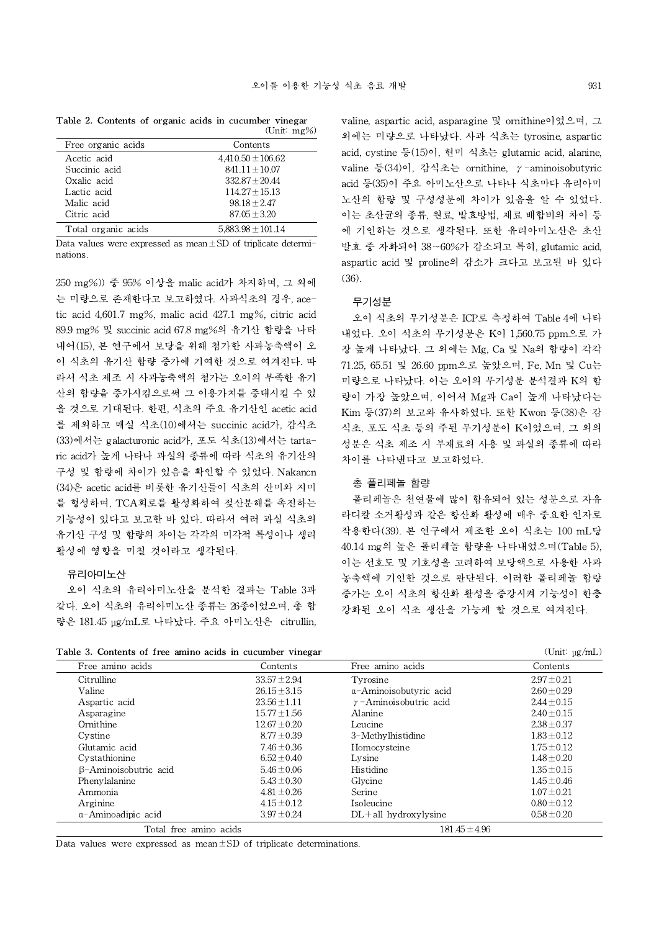Table 2. Contents of organic acids in cucumber vinegar  $(Tm+1)$ 

| Free organic acids  | Contents              |
|---------------------|-----------------------|
| Acetic acid         | $4.410.50 \pm 106.62$ |
| Succinic acid       | $841.11 + 10.07$      |
| Oxalic acid         | $332.87 \pm 20.44$    |
| Lactic acid         | $114.27 \pm 15.13$    |
| Malic acid          | $98.18 \pm 2.47$      |
| Citric acid         | $87.05 \pm 3.20$      |
| Total organic acids | $5,883.98 \pm 101.14$ |

Data values were expressed as mean±SD of triplicate determinations.

250 mg%)) 중 95% 이상을 malic acid가 차지하며, 그 외에 는 미량으로 존재한다고 보고하였다. 사과식초의 경우, acetic acid 4,601.7 mg%, malic acid 427.1 mg%, citric acid 89.9 mg% 및 succinicacid 67.8 mg%의 유기산 함량을 나타 내어(15), 본 연구에서 보당을 위해 첨가한 사과농축액이 오 이 식초의 유기산 함량 증가에 기여한 것으로 여겨진다. 따 라서 식초 제조 시 사과농축액의 첨가는 오이의 부족한 유기 산의 함량을 증가시킴으로써 그 이용가치를 증대시킬 수 있 을 것으로 기대된다. 한편, 식초의 주요 유기산인 acetic acid 를 제외하고 매실 식초(10)에서는 succinic acid가, 감식초 (33)에서는 galacturonic acid가, 포도 식초(13)에서는 tartaric acid가 높게 나타나 과실의 종류에 따라 식초의 유기산의 구성 및 함량에 차이가 있음을 확인할 수 있었다. Nakancn (34)은 acetic acid를 비롯한 유기산들이 식초의 산미와 지미 를 형성하며, TCA회로를 활성화하여 젖산분해를 촉진하는 기능성이 있다고 보고한 바 있다. 따라서 여러 과실 식초의 유기산 구성 및 함량의 차이는 각각의 미각적 특성이나 생리 활성에 영향을 미칠 것이라고 생각된다.

# 유리아미노산

오이 식초의 유리아미노산을 분석한 결과는 Table 3과 같다. 오이 식초의 유리아미노산 종류는 26종이었으며, 총 함 량은 181.45 μg/mL로 나타났다. 주요 아미노산은 citrullin,

(36). 무기성분 오이 식초의 무기성분은 ICP로 측정하여 Table 4에 나타 내었다. 오이 식초의 무기성분은 K이 1,560.75 ppm으로 가

장 높게 나타났다. 그 외에는 Mg, Ca 및 Na의 함량이 각각 71.25, 65.51 및 26.60 ppm으로 높았으며, Fe, Mn 및 Cu는 미량으로 나타났다. 이는 오이의 무기성분 분석결과 K의 함 량이 가장 높았으며, 이어서 Mg과 Ca이 높게 나타났다는 Kim 등(37)의 보고와 유사하였다. 또한 Kwon 등(38)은 감 식초, 포도 식초 등의 주된 무기성분이 K이었으며, 그 외의 성분은 식초 제조 시 부재료의 사용 및 과실의 종류에 따라 차이를 나타낸다고 보고하였다.

valine, aspartic acid, asparagine 및 ornithine이었으며, 그 외에는 미량으로 나타났다. 사과 식초는 tyrosine, aspartic acid, cystine 등(15)이, 현미 식초는 glutamic acid, alanine, valine 등(34)이, 감식초는 ornithine, γ-aminoisobutyric acid 등(35)이 주요 아미노산으로 나타나 식초마다 유리아미 노산의 함량 및 구성성분에 차이가 있음을 알 수 있었다. 이는 초산균의 종류, 원료, 발효방법, 재료 배합비의 차이 등 에 기인하는 것으로 생각된다. 또한 유리아미노산은 초산 발효 중 자화되어 38∼60%가 감소되고 특히, glutamic acid, aspartic acid 및 proline의 감소가 크다고 보고된 바 있다

### 총 폴리페놀 함량

폴리페놀은 천연물에 많이 함유되어 있는 성분으로 자유 라디칼 소거활성과 같은 항산화 활성에 매우 중요한 인자로 작용한다(39). 본 연구에서 제조한 오이 식초는 100 mL당 40.14 mg의 높은 폴리페놀 함량을 나타내었으며(Table 5), 이는 선호도 및 기호성을 고려하여 보당액으로 사용한 사과 농축액에 기인한 것으로 판단된다. 이러한 폴리페놀 함량 증가는 오이 식초의 항산화 활성을 증강시켜 기능성이 한층 강화된 오이 식초 생산을 가능케 할 것으로 여겨진다.

Table 3. Contents of free amino acids in cucumber vinegar (Unit: μg/mL)

| Table 5. Contents of free allmo acids in cucumber vinegal |                  |                               | $\overline{\text{cm}}$ , $\mu$ $\mu$ $\mu$ |  |
|-----------------------------------------------------------|------------------|-------------------------------|--------------------------------------------|--|
| Free amino acids                                          | Contents         | Free amino acids              | Contents                                   |  |
| Citrulline                                                | $33.57 \pm 2.94$ | Tyrosine                      | $2.97 \pm 0.21$                            |  |
| Valine                                                    | $26.15 \pm 3.15$ | a-Aminoisobutyric acid        | $2.60 \pm 0.29$                            |  |
| Aspartic acid                                             | $23.56 \pm 1.11$ | $\gamma$ -Aminoisobutric acid | $2.44 \pm 0.15$                            |  |
| Asparagine                                                | $15.77 \pm 1.56$ | Alanine                       | $2.40 \pm 0.15$                            |  |
| Ornithine                                                 | $12.67 \pm 0.20$ | Leucine                       | $2.38 \pm 0.37$                            |  |
| Cystine                                                   | $8.77 \pm 0.39$  | 3-Methylhistidine             | $1.83 \pm 0.12$                            |  |
| Glutamic acid                                             | $7.46 \pm 0.36$  | Homocysteine                  | $1.75 \pm 0.12$                            |  |
| Cystathionine                                             | $6.52 \pm 0.40$  | Lysine                        | $1.48 \pm 0.20$                            |  |
| $\beta$ -Aminoisobutric acid                              | $5.46 \pm 0.06$  | Histidine                     | $1.35 \pm 0.15$                            |  |
| Phenylalanine                                             | $5.43 \pm 0.30$  | Glycine                       | $1.45 \pm 0.46$                            |  |
| Ammonia                                                   | $4.81 \pm 0.26$  | Serine                        | $1.07 \pm 0.21$                            |  |
| Arginine                                                  | $4.15 \pm 0.12$  | Isoleucine                    | $0.80 \pm 0.12$                            |  |
| a-Aminoadipic acid                                        | $3.97 \pm 0.24$  | $DL + all$ hydroxylysine      | $0.58 \pm 0.20$                            |  |
| Total free amino acids                                    |                  | $181.45 \pm 4.96$             |                                            |  |

Data values were expressed as mean $\pm$ SD of triplicate determinations.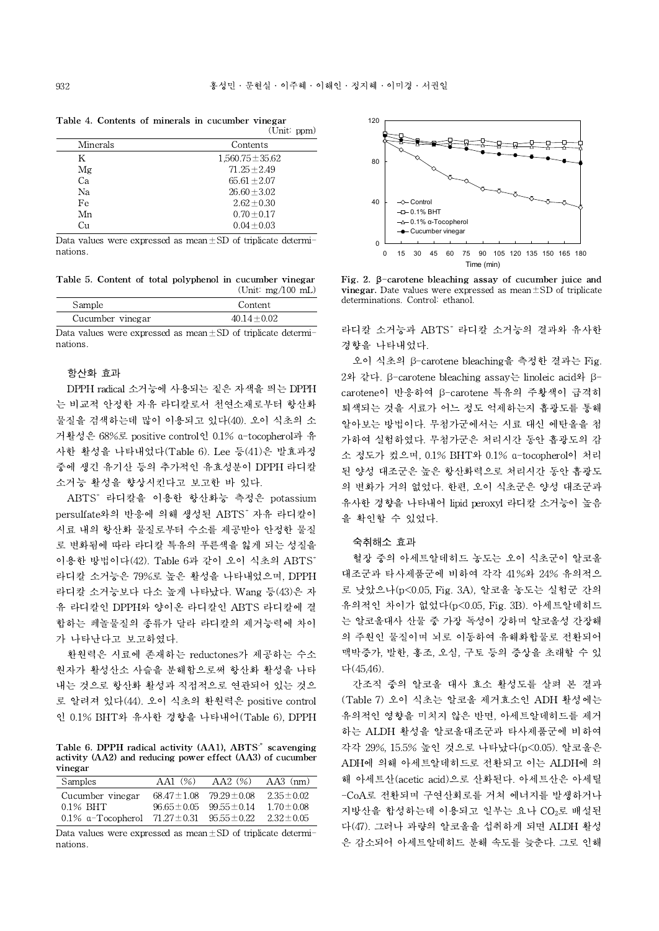|          | $\overline{C}$       |
|----------|----------------------|
| Minerals | Contents             |
| K        | $1,560.75 \pm 35.62$ |
| Mg       | $71.25 \pm 2.49$     |
| Ca       | $65.61 \pm 2.07$     |
| Nа       | $26.60 \pm 3.02$     |
| Fe       | $2.62 \pm 0.30$      |
| Mn       | $0.70 \pm 0.17$      |
| Сп       | $0.04 \pm 0.03$      |

Table 4. Contents of minerals in cucumber vinegar  $(\overline{\text{Unit}}; \text{mm})$ 

Data values were expressed as mean $\pm$ SD of triplicate determinations.

Table 5. Content of total polyphenol in cucumber vinegar (Unit: mg/100 mL)

|                  | --               |
|------------------|------------------|
| Sample           | Content          |
| Cucumber vinegar | $40.14 \pm 0.02$ |

Data values were expressed as mean±SD of triplicate determinations.

### 항산화 효과

DPPH radical 소거능에 사용되는 짙은 자색을 띄는 DPPH 는 비교적 안정한 자유 라디칼로서 천연소재로부터 항산화 물질을 검색하는데 많이 이용되고 있다(40). 오이 식초의 소 거활성은 68%로 positivecontrol인 0.1% α-tocopherol과 유 사한 활성을 나타내었다(Table 6). Lee 등(41)은 발효과정 중에 생긴 유기산 등의 추가적인 유효성분이 DPPH 라디칼 소거능 활성을 향상시킨다고 보고한 바 있다.

ABTS<sup>+</sup> 라디칼을 이용한 항산화능 측정은 potassium persulfate와의 반응에 의해 생성된 ABTS<sup>+</sup> 자유 라디칼이 시료 내의 항산화 물질로부터 수소를 제공받아 안정한 물질 로 변화됨에 따라 라디칼 특유의 푸른색을 잃게 되는 성질을 이용한 방법이다(42). Table 6과 같이 오이 식초의 ABTS<sup>+</sup> 라디칼 소거능은 79%로 높은 활성을 나타내었으며, DPPH 라디칼 소거능보다 다소 높게 나타났다. Wang 등(43)은 자 유 라디칼인 DPPH와 양이온 라디칼인 ABTS 라디칼에 결 합하는 페놀물질의 종류가 달라 라디칼의 제거능력에 차이 가 나타난다고 보고하였다.

환원력은 시료에 존재하는 reductones가 제공하는 수소 원자가 활성산소 사슬을 분해함으로써 항산화 활성을 나타 내는 것으로 항산화 활성과 직접적으로 연관되어 있는 것으 로 알려져 있다(44). 오이 식초의 환원력은 positivecontrol 인 0.1% BHT와 유사한 경향을 나타내어(Table 6), DPPH

Table 6. DPPH radical activity (AA1), ABTS<sup>+</sup> scavenging activity (AA2) and reducing power effect (AA3) of cucumber vinegar

| <b>Samples</b>                                                      | AA1(%) | $AA2$ (%) $AA3$ (nm)              |                 |  |
|---------------------------------------------------------------------|--------|-----------------------------------|-----------------|--|
| Cucumber vinegar                                                    |        | $68.47 \pm 1.08$ $79.29 \pm 0.08$ | $2.35 \pm 0.02$ |  |
| $0.1\%$ BHT                                                         |        | $96.65 \pm 0.05$ $99.55 \pm 0.14$ | $1.70 \pm 0.08$ |  |
| 0.1% a-Tocopherol 71.27 $\pm$ 0.31 95.55 $\pm$ 0.22 2.32 $\pm$ 0.05 |        |                                   |                 |  |

Data values were expressed as mean±SD of triplicate determinations.



Fig. 2. β-carotene bleaching assay of cucumber juice and **vinegar.** Date values were expressed as mean $\pm$ SD of triplicate determinations. Control: ethanol.

라디칼 소거능과 ABTS<sup>+</sup> 라디칼 소거능의 결과와 유사한 경향을 나타내었다.

오이 식초의 β-carotene bleaching을 측정한 결과는 Fig. 2와 같다. β-carotene bleaching assay는 linoleic acid와 βcarotene이 반응하여 β-carotene 특유의 주황색이 급격히 퇴색되는 것을 시료가 어느 정도 억제하는지 흡광도를 통해 알아보는 방법이다. 무첨가군에서는 시료 대신 에탄올을 첨 가하여 실험하였다. 무첨가군은 처리시간 동안 흡광도의 감 소 정도가 컸으며, 0.1% BHT와 0.1% α-tocopherol이 처리 된 양성 대조군은 높은 항산화력으로 처리시간 동안 흡광도 의 변화가 거의 없었다. 한편, 오이 식초군은 양성 대조군과 유사한 경향을 나타내어 lipid peroxyl 라디칼 소거능이 높음 을 확인할 수 있었다.

#### 숙취해소 효과

혈장 중의 아세트알데히드 농도는 오이 식초군이 알코올 대조군과 타사제품군에 비하여 각각 41%와 24% 유의적으 로 낮았으나(p<0.05, Fig. 3A), 알코올 농도는 실험군 간의 유의적인 차이가 없었다(p<0.05, Fig. 3B). 아세트알데히드 는 알코올대사 산물 중 가장 독성이 강하며 알코올성 간장해 의 주원인 물질이며 뇌로 이동하여 유해화합물로 전환되어 맥박증가, 발한, 홍조, 오심, 구토 등의 증상을 초래할 수 있 다(45,46).

간조직 중의 알코올 대사 효소 활성도를 살펴 본 결과 (Table 7) 오이 식초는 알코올 제거효소인 ADH 활성에는 유의적인 영향을 미치지 않은 반면, 아세트알데히드를 제거 하는 ALDH 활성을 알코올대조군과 타사제품군에 비하여 각각 29%, 15.5% 높인 것으로 나타났다(p<0.05). 알코올은 ADH에 의해 아세트알데히드로 전환되고 이는 ALDH에 의 해 아세트산(acetic acid)으로 산화된다. 아세트산은 아세틸 -CoA로 전환되며 구연산회로를 거쳐 에너지를 발생하거나 지방산을 합성하는데 이용되고 일부는 요나 CO<sub>2</sub>로 배설된 다(47). 그러나 과량의 알코올을 섭취하게 되면 ALDH 활성 은 감소되어 아세트알데히드 분해 속도를 늦춘다. 그로 인해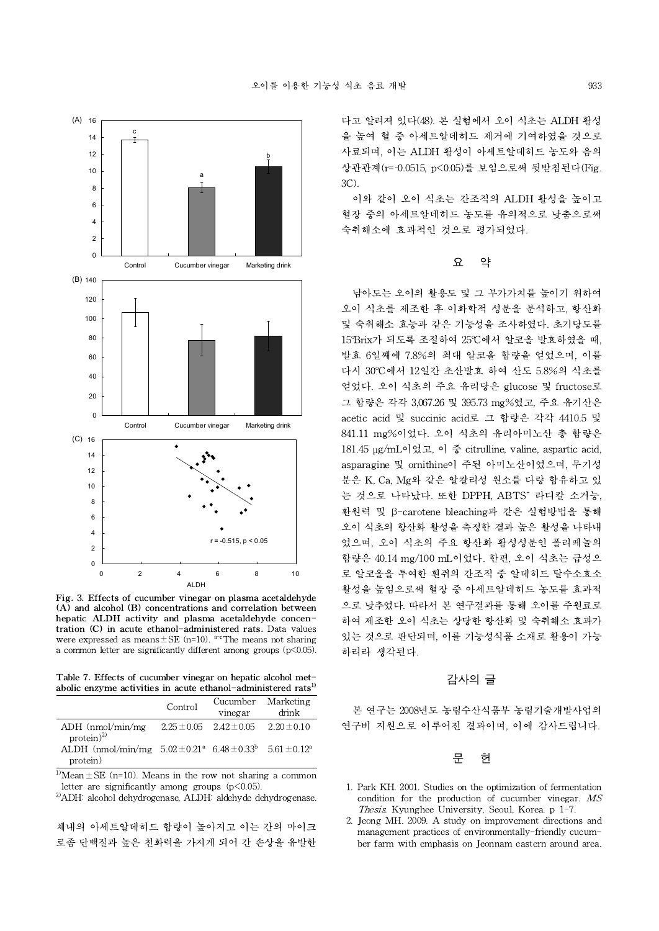

Fig. 3. Effects of cucumber vinegar on plasma acetaldehyde (A) and alcohol (B) concentrations and correlation between hepatic ALDH activity and plasma acetaldehyde concentration (C) in acute ethanol-administered rats. Data values were expressed as means $\pm$ SE (n=10). a-cThe means not sharing a common letter are significantly different among groups  $(p<0.05)$ .

Table 7. Effects of cucumber vinegar on hepatic alcohol metabolic enzyme activities in acute ethanol-administered rats<sup>1)</sup>

|                                                                                     | Control | Cucumber Marketing<br>vinegar | drink |   |
|-------------------------------------------------------------------------------------|---------|-------------------------------|-------|---|
| ADH (nmol/min/mg $2.25 \pm 0.05$ $2.42 \pm 0.05$ $2.20 \pm 0.10$<br>$protein)^{2)}$ |         |                               |       | 얶 |
| ALDH (nmol/min/mg $5.02 \pm 0.21^a$ $6.48 \pm 0.33^b$ $5.61 \pm 0.12^a$<br>protein) |         |                               |       |   |

 $\sqrt{10}$ Mean $\pm$ SE (n=10). Means in the row not sharing a common letter are significantly among groups  $(p<0.05)$ .

2)ADH: alcohol dehydrogenase, ALDH: aldehyde dehydrogenase.

체내의 아세트알데히드 함량이 높아지고 이는 간의 마이크 로좀 단백질과 높은 친화력을 가지게 되어 간 손상을 유발한

다고 알려져 있다(48). 본 실험에서 오이 식초는 ALDH 활성 을 높여 혈 중 아세트알데히드 제거에 기여하였을 것으로 사료되며, 이는 ALDH 활성이 아세트알데히드 농도와 음의 상관관계(r=0.0515, p<0.05)를 보임으로써 뒷받침된다(Fig. 3C).

이와 같이 오이 식초는 간조직의 ALDH 활성을 높이고 혈장 중의 아세트알데히드 농도를 유의적으로 낮춤으로써 숙취해소에 효과적인 것으로 평가되었다.

# 요 약

남아도는 오이의 활용도 및 그 부가가치를 높이기 위하여 오이 식초를 제조한 후 이화학적 성분을 분석하고, 항산화 및 숙취해소 효능과 같은 기능성을 조사하였다. 초기당도를 15°Brix가 되도록 조절하여 25°C에서 알코올 발효하였을 때, 발효 6일째에 7.8%의 최대 알코올 함량을 얻었으며, 이를 다시 30°C에서 12일간 초산발효 하여 산도 5.8%의 식초를 얻었다. 오이 식초의 주요 유리당은 glucose및 fructose로 그 함량은 각각 3,067.26및 395.73 mg%였고, 주요 유기산은 acetic acid 및 succinic acid로 그 함량은 각각 4410.5 및 841.11 mg%이었다. 오이 식초의 유리아미노산 총 함량은 181.45 μg/mL이었고, 이 중 citrulline, valine, aspartic acid, asparagine 및 ornithine이 주된 아미노산이었으며, 무기성 분은 K, Ca, Mg와 같은 알칼리성 원소를 다량 함유하고 있 는 것으로 나타났다. 또한 DPPH, ABTS<sup>+</sup> 라디칼 소거능, 환원력 및 β-carotene bleaching과 같은 실험방법을 통해 오이 식초의 항산화 활성을 측정한 결과 높은 활성을 나타내 었으며, 오이 식초의 주요 항산화 활성성분인 폴리페놀의 함량은 40.14 mg/100 mL이었다. 한편, 오이 식초는 급성으 로 알코올을 투여한 흰쥐의 간조직 중 알데히드 탈수소효소 활성을 높임으로써 혈장 중 아세트알데히드 농도를 효과적 으로 낮추었다. 따라서 본 연구결과를 통해 오이를 주원료로 하여 제조한 오이 식초는 상당한 항산화 및 숙취해소 효과가 있는 것으로 판단되며, 이를 기능성식품 소재로 활용이 가능 하리라 생각된다.

# 감사의 글

본 연구는 2008년도 농림수산식품부 농림기술개발사업의 연구비 지원으로 이루어진 결과이며, 이에 감사드립니다.

### 문 헌

- 1. Park KH. 2001. Studies on the optimization of fermentation condition for the production of cucumber vinegar.  $MS$ Thesis. Kyunghee University, Seoul, Korea. p 1-7.
- 2. Jeong MH.2009. A study on improvement directions and management practices of environmentally-friendly cucumber farm with emphasis on Jeonnam eastern around area.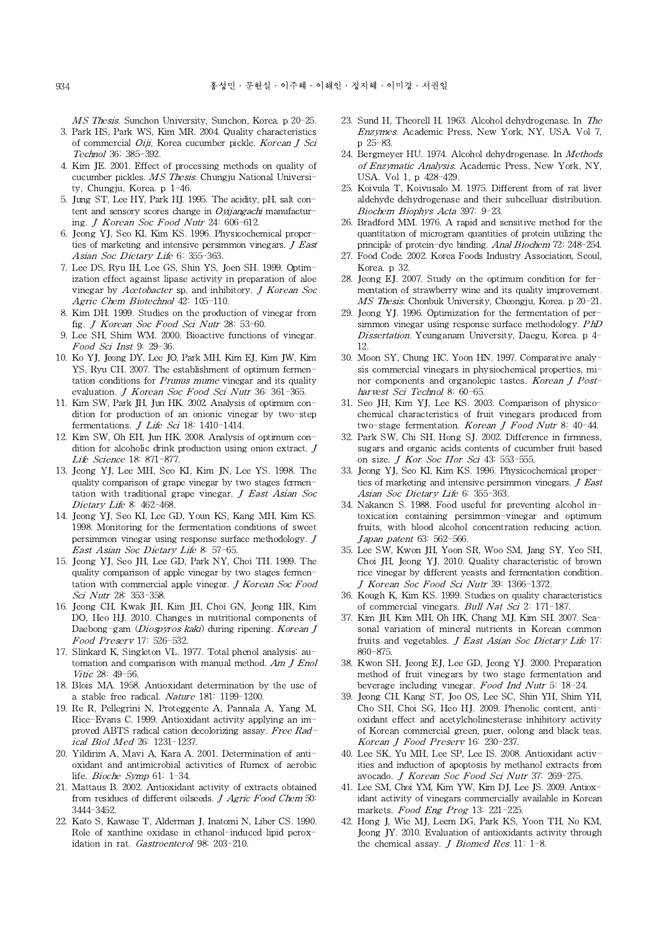MS Thesis. Sunchon University, Sunchon, Korea. p 20-25. 3. Park HS, Park WS, Kim MR. 2004. Quality characteristics of commercial *Oiji*, Korea cucumber pickle. Korean J Sci

- Technol 36: 385-392. 4. Kim JE. 2001. Effect of processing methods on quality of
- cucumber pickles. MS Thesis. Chungju National University, Chungju, Korea. p 1-46.
- 5. Jung ST, Lee HY, Park HJ. 1995. The acidity, pH, salt content and sensory scores change in *Ovijangachi* manufacturing. J Korean Soc Food Nutr 24: 606-612.
- 6. Jeong YJ, Seo KI, Kim KS. 1996. Physicochemical properties of marketing and intensive persimmon vinegars. J East Asian Soc Dietary Life 6: 355-363.
- 7. Lee DS, Ryu IH, Lee GS, Shin YS, Joen SH. 1999. Optimization effect against lipase activity in preparation of aloe vinegar by Acetobacter sp. and inhibitory. J Korean Soc Agric Chem Biotechnol 42: 105-110.
- 8. Kim DH. 1999. Studies on the production of vinegar from fig. *J Korean Soc Food Sci Nutr* 28: 53-60.
- 9. Lee SH, Shim WM. 2000. Bioactive functions of vinegar. Food Sci Inst 9: 29-36.
- 10. Ko YJ, Jeong DY, Lee JO,Park MH, Kim EJ, Kim JW, Kim YS, Ryu CH. 2007. The establishment of optimum fermenthe *H, Shim WM. 2000. Bioactive functions of vinegar.*<br> *Food Sci Inst 9: 29-36.*<br> *Food Sci Inst 9: 29-36.*<br>
Ko YJ, Jeong DY, Lee JO, Park MH, Kim EJ, Kim JW, Kim 30.<br>
YS, Ryu CH. 2007. The establishment of optimum ferme evaluation. *J Korean Soc Food Sci Nutr* 36: 361-365.
- 11. Kim SW, Park JH, Jun HK. 2002. Analysis of optimum condition for production of an onionic vinegar by two-step fermentations. *J Life Sci* 18: 1410-1414.
- 12. Kim SW, Oh EH, Jun HK. 2008. Analysis of optimum condition for alcoholic drink production using onion extract. J Life Science 18: 871-877.
- 13. Jeong YJ, Lee MH, Seo KI, Kim JN, Lee YS. 1998. The quality comparison of grape vinegar by two stages fermentation with traditional grape vinegar. J East Asian Soc Dietary Life 8: 462-468.
- 14. Jeong YJ, Seo KI, Lee GD, Youn KS, Kang MH, Kim KS. 1998. Monitoring for the fermentation conditions of sweet persimmon vinegar using response surface methodology. J East Asian Soc Dietary Life 8: 57-65.
- 15. Jeong YJ, Seo JH, Lee GD, Park NY, Choi TH. 1999. The quality comparison of apple vinegar by two stages fermentation with commercial apple vinegar. J Korean Soc Food Sci Nutr 28: 353-358.
- 16. Jeong CH, Kwak JH, Kim JH, Choi GN, Jeong HR, Kim DO, Heo HJ. 2010. Changes in nutritional components of Daebong-gam (Diospyros kaki) during ripening. Korean J tation with commercial apple vi<br>Sci Nutr 28: 353-358.<br>Jeong CH, Kwak JH, Kim JH,<br>DO, Heo HJ. 2010. Changes in<br>Daebong-gam (*Diospyros kaki)*<br>Food Preserv 17: 526-532.<br>Slinkard K, Singleton VL. 1977.
- 17. Slinkard K, Singleton VL. 1977. Total phenol analysis: automation and comparison with manual method.  $Am J Enol$ Vitic 28: 49-56.
- 18. Blois MA. 1958. Antioxidant determination by the use of a stable free radical. Nature 181: 1199-1200.
- 19. Re R, Pellegrini N, Proteggente A, Pannala A, Yang M, Rice-Evans C. 1999. Antioxidant activity applying an improved ABTS radical cation decolorizing assay. Free Radical Biol Med 26: 1231-1237.
- 20. Yildirim A, Mavi A, Kara A. 2001. Determination of antioxidant and antimicrobial activities of Rumex of aerobic life. *Bioche Symp* 61: 1-34.
- 21. Mattaus B. 2002. Antioxidant activity of extracts obtained from residues of different oilseeds. J Agric Food Chem 50: 3444-3452.
- 22. Kato S, Kawase T, Alderman J, Inatomi N, Liber CS. 1990. Role of xanthine oxidase in ethanol-induced lipid peroxidation in rat. Gastroenterol 98: 203-210.
- 23. Sund H, Theorell H. 1963. Alcohol dehydrogenase. In The Enzymes. Academic Press, New York, NY, USA. Vol 7, p 25-83.
- 24. Bergmeyer HU. 1974. Alcohol dehydrogenase. In Methods of Enzymatic Analysis. Academic Press, New York, NY, USA. Vol 1, p 428-429.
- 25. Koivula T, Koivusalo M. 1975. Different from of rat liver aldehyde dehydrogenase and their subcelluar distribution. Biochem Biophys Acta 397: 9-23.
- 26. Bradford MM. 1976. A rapid and sensitive method for the quantitation of microgram quantities of protein utilizing the principle of protein-dye binding. Anal Biochem 72: 248-254.
- 27. Food Code. 2002. Korea Foods Industry Association, Seoul, Korea. p 32.
- mentation of strawberry wine and its quality improvement. MS Thesis. Chonbuk University, Cheongju, Korea. p 20-21.
- EXECT: 28. Jeong EJ. 2007. Study on the optimum condition for fer-<br>
mentation of strawberry wine and its quality improvement.<br> *MS Thesis*. Chonbuk University, Cheongju, Korea. p 20–21.<br>
29. Jeong YJ. 1996. Optimization fo 29. Jeong YJ. 1996. Optimization for the fermentation of per-Dissertation. Yeunganam University, Daegu, Korea. p 4-12.
- 30. Moon SY, Chung HC, Yoon HN. 1997. Comparative analysis commercial vinegars in physiochemical properties, misimmon vinegar using response surface methodology. PhD<br>Dissertation. Yeunganam University, Daegu, Korea. p 4-<br>12.<br>Moon SY, Chung HC, Yoon HN. 1997. Comparative analy-<br>sis commercial vinegars in physiochemical properties, m harvest Sci Technol 8: 60-65.
- 31. Seo JH, Kim YJ, Lee KS. 2003. Comparison of physicochemical characteristics of fruit vinegars produced from two-stage fermentation. Korean J Food Nutr 8: 40-44.
- 32. Park SW,Chi SH, Hong SJ. 2002. Difference in firmness, sugars and organic acids contents of cucumber fruit based on size. J Kor Soc Hor Sci 43: 553-555.
- 33. Jeong YJ, Seo KI, Kim KS. 1996. Physicochemical properties of marketing and intensive persimmon vinegars. *J East* Asian Soc Dietary Life 6: 355-363.
- 34. Nakancn S. 1988. Food useful for preventing alcohol intoxication containing persimmon-vinegar and optimum fruits, with blood alcohol concentration reducing action. ties of marketing and intensive<br>Asian Soc Dietary Life 6: 35:<br>Nakancn S. 1988. Food useful<br>toxication containing persimi<br>fruits, with blood alcohol cor<br>Japan patent 63: 562-566.<br>Lee SW, Kwon JH, Yoon SR,
- 35. Lee SW, Kwon JH, Yoon SR, Woo SM, Jang SY, Yeo SH, Choi JH, Jeong YJ. 2010. Quality characteristic of brown rice vinegar by different yeasts and fermentation condition. J Korean Soc Food Sci Nutr 39: 1366-1372.
- 36. Kough K, Kim KS. 1999. Studies on quality characteristics of commercial vinegars. Bull Nat Sci 2: 171-187.
- 37. Kim JH, Kim MH, Oh HK, Chang MJ, Kim SH. 2007. Seasonal variation of mineral nutrients in Korean common fruits and vegetables. *J East Asian Soc Dietary Life* 17: 860-875.
- 38. Kwon SH, Jeong EJ, Lee GD, Jeong YJ. 2000. Preparation method of fruit vinegars by two stage fermentation and beverage including vinegar. Food Ind Nutr 5: 18-24.
- 39. Jeong CH, Kang ST, Joo OS,Lee SC, Shin YH, Shim YH, Cho SH, Choi SG, Heo HJ.2009. Phenolic content, antioxidant effect and acetylcholinesterase inhibitory activity of Korean commercial green, puer, oolong and black teas. beverage including vinegar. *Food Ind Ni*<br>Jeong CH, Kang ST, Joo OS, Lee SC, Shir<br>Cho SH, Choi SG, Heo HJ. 2009. Phenoli<br>oxidant effect and acetylcholinesterase in<br>of Korean commercial green, puer, oolong<br>*Korean J Food Pr*
- 40. Lee SK, Yu MH, Lee SP, Lee IS. 2008. Antioxidant activavocado. J Korean Soc Food Sci Nutr 37: 269-275.
- Lee SK, Yu MH, Lee SP, Lee IS. 2008. Antioxidant activ-<br>ities and induction of apoptosis by methanol extracts from<br>avocado. *J Korean Soc Food Sci Nutr* 37: 269-275.<br>Lee SM, Choi YM, Kim YW, Kim DJ, Lee JS. 2009. Antiox-<br>i 41. Lee SM, Choi YM, Kim YW, Kim DJ, Lee JS. 2009. Antioxidant activity of vinegars commercially available in Korean
- 42. Hong J, Wie MJ, Leem DG, Park KS, Yoon TH, No KM, Jeong JY. 2010. Evaluation of antioxidants activity through the chemical assay. *J Biomed Res* 11: 1-8.